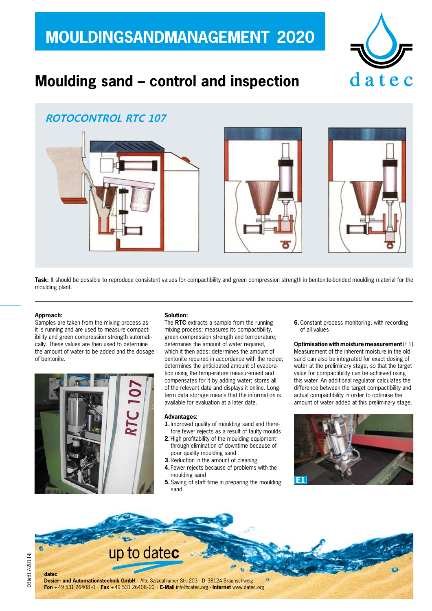## **MOULDINGSANDMANAGEMENT 2020**



## **Moulding sand – control and inspection**

## **ROTOCONTROL RTC 107**



Task: It should be possible to reproduce consistent values for compactibility and green compression strength in bentonite-bonded moulding material for the moulding plant.

#### **Approach:**

Samples are taken from the mixing process as it is running and are used to measure compactibility and green compression strength automatically. These values are then used to determine the amount of water to be added and the dosage of bentonite.



### **Solution:**

The **RTC** extracts a sample from the running mixing process; measures its compactibility, green compression strength and temperature; determines the amount of water required, which it then adds; determines the amount of bentonite required in accordance with the recipe; determines the anticipated amount of evaporation using the temperature measurement and compensates for it by adding water; stores all of the relevant data and displays it online. Longterm data storage means that the information is available for evaluation at a later date.

#### **Advantages:**

- **1.**Improved quality of moulding sand and therefore fewer rejects as a result of faulty moulds
- **2.**High profitability of the moulding equipment through elimination of downtime because of poor quality moulding sand
- **3.**Reduction in the amount of cleaning
- **4.** Fewer rejects because of problems with the moulding sand
- **5.**Saving of staff time in preparing the moulding sand

**6.**Constant process monitoring, with recording of all values

**Optimisation with moisture measurement** (E1) Measurement of the inherent moisture in the old sand can also be integrated for exact dosing of water at the preliminary stage, so that the target value for compactibility can be achieved using this water. An additional regulator calculates the difference between the target compactibility and actual compactibility in order to optimise the amount of water added at this preliminary stage.



up to datec **datec Dosier- und Automationstechnik GmbH** · Alte Salzdahlumer Str. 203 · D-38124 Braunschweig

**Fon** +49 531 26408-0 · **Fax** +49 531 26408-20 · **E-Mail** info@datec.org · **Internet** www.datec.org